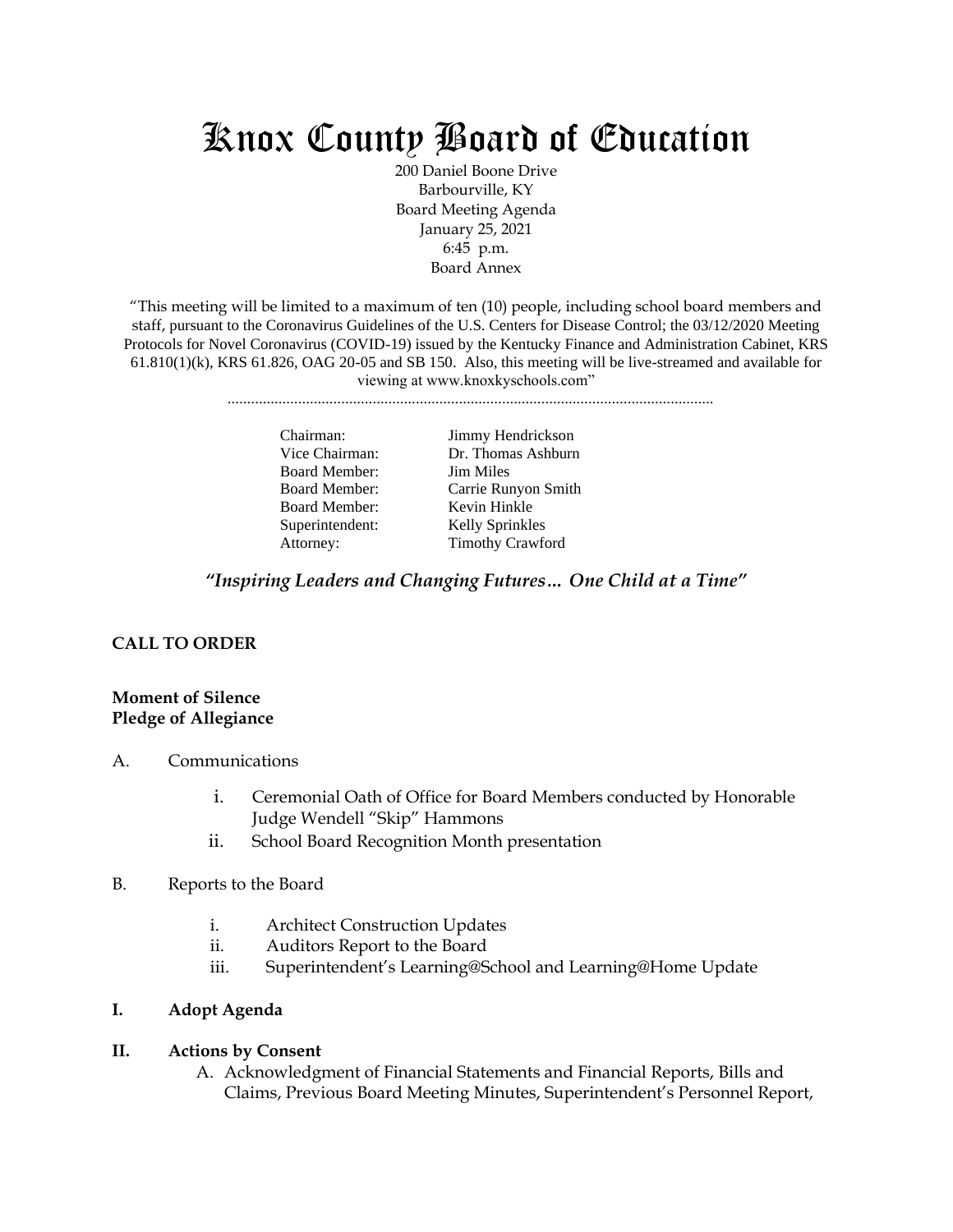# Knox County Board of Education

200 Daniel Boone Drive Barbourville, KY Board Meeting Agenda January 25, 2021 6:45 p.m. Board Annex

"This meeting will be limited to a maximum of ten (10) people, including school board members and staff, pursuant to the Coronavirus Guidelines of the U.S. Centers for Disease Control; the 03/12/2020 Meeting Protocols for Novel Coronavirus (COVID-19) issued by the Kentucky Finance and Administration Cabinet, KRS  $61.810(1)(k)$ , KRS  $61.826$ , OAG  $20-05$  and SB 150. Also, this meeting will be live-streamed and available for viewing at www.knoxkyschools.com"

............................................................................................................................

Board Member: Jim Miles Board Member: Kevin Hinkle Superintendent: Kelly Sprinkles

Chairman: Jimmy Hendrickson Vice Chairman: Dr. Thomas Ashburn Board Member: Carrie Runyon Smith Attorney: Timothy Crawford

*"Inspiring Leaders and Changing Futures… One Child at a Time"*

# **CALL TO ORDER**

#### **Moment of Silence Pledge of Allegiance**

- A. Communications
	- i. Ceremonial Oath of Office for Board Members conducted by Honorable Judge Wendell "Skip" Hammons
	- ii. School Board Recognition Month presentation
- B. Reports to the Board
	- i. Architect Construction Updates
	- ii. Auditors Report to the Board
	- iii. Superintendent's Learning@School and Learning@Home Update

## **I. Adopt Agenda**

#### **II. Actions by Consent**

A. Acknowledgment of Financial Statements and Financial Reports, Bills and Claims, Previous Board Meeting Minutes, Superintendent's Personnel Report,